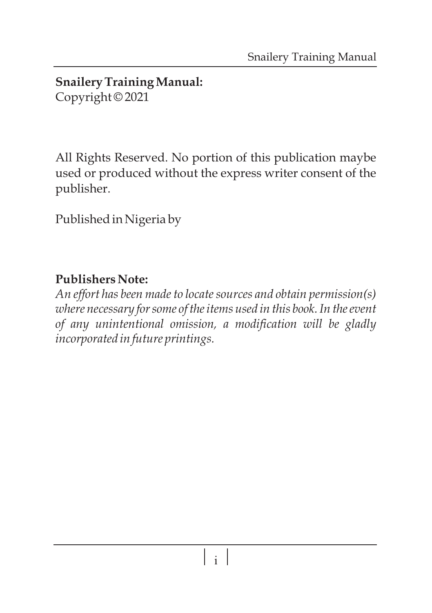#### **Snailery Training Manual:**  Copyright © 2021

All Rights Reserved. No portion of this publication maybe used or produced without the express writer consent of the publisher.

Published in Nigeria by

### **Publishers Note:**

*An effort has been made to locate sources and obtain permission(s) where necessary for some of the items used in this book. In the event of any unintentional omission, a modification will be gladly incorporated in future printings.*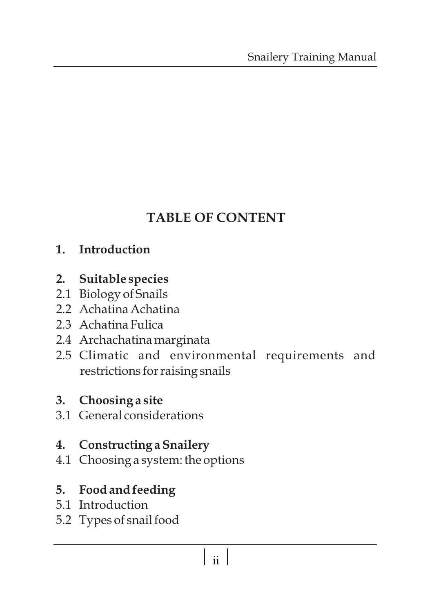## **TABLE OF CONTENT**

### **1. Introduction**

- **2. Suitable species**
- 2.1 Biology of Snails
- 2.2 Achatina Achatina
- 2.3 Achatina Fulica
- 2.4 Archachatina marginata
- 2.5 Climatic and environmental requirements and restrictions for raising snails

#### **3. Choosing a site**

3.1 General considerations

#### **4. Constructing a Snailery**

4.1 Choosing a system: the options

### **5. Food and feeding**

- 5.1 Introduction
- 5.2 Types of snail food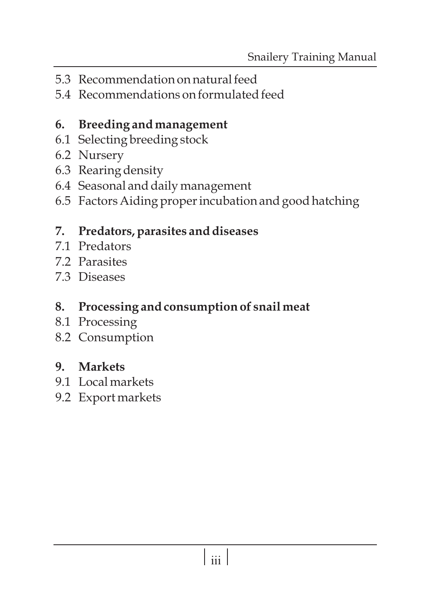- 5.3 Recommendation on natural feed
- 5.4 Recommendations on formulated feed

### **6. Breeding and management**

- 6.1 Selecting breeding stock
- 6.2 Nursery
- 6.3 Rearing density
- 6.4 Seasonal and daily management
- 6.5 Factors Aiding proper incubation and good hatching

### **7. Predators, parasites and diseases**

- 7.1 Predators
- 7.2 Parasites
- 7.3 Diseases

### **8. Processing and consumption of snail meat**

- 8.1 Processing
- 8.2 Consumption

### **9. Markets**

- 9.1 Local markets
- 9.2 Export markets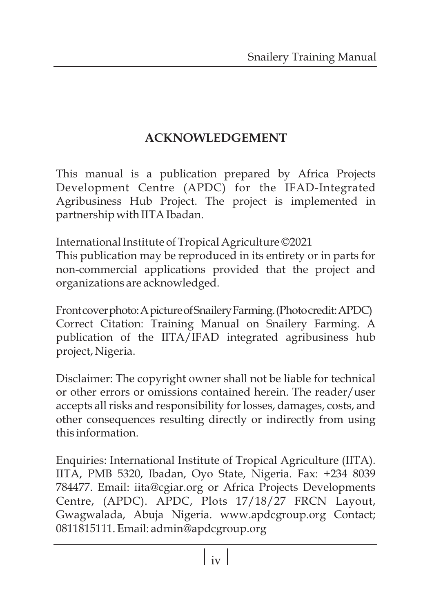### **ACKNOWLEDGEMENT**

This manual is a publication prepared by Africa Projects Development Centre (APDC) for the IFAD-Integrated Agribusiness Hub Project. The project is implemented in partnership with IITA Ibadan.

International Institute of Tropical Agriculture ©2021 This publication may be reproduced in its entirety or in parts for non-commercial applications provided that the project and organizations are acknowledged.

Frontcover photo: A picture of Snailery Farming. (Photocredit: APDC) Correct Citation: Training Manual on Snailery Farming. A publication of the IITA/IFAD integrated agribusiness hub project, Nigeria.

Disclaimer: The copyright owner shall not be liable for technical or other errors or omissions contained herein. The reader/user accepts all risks and responsibility for losses, damages, costs, and other consequences resulting directly or indirectly from using this information.

Enquiries: International Institute of Tropical Agriculture (IITA). IITA, PMB 5320, Ibadan, Oyo State, Nigeria. Fax: +234 8039 784477. Email: iita@cgiar.org or Africa Projects Developments Centre, (APDC). APDC, Plots 17/18/27 FRCN Layout, Gwagwalada, Abuja Nigeria. www.apdcgroup.org Contact; 0811815111. Email: admin@apdcgroup.org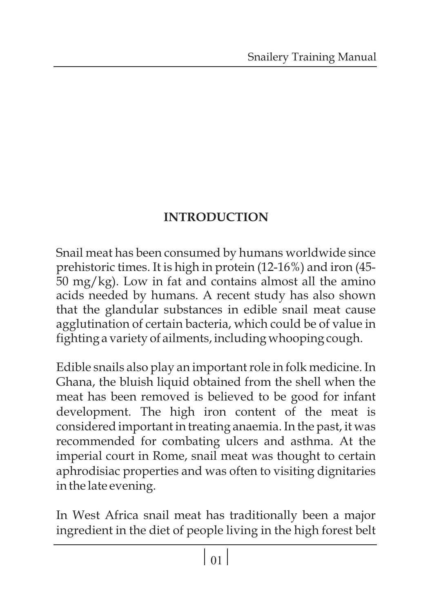### **INTRODUCTION**

Snail meat has been consumed by humans worldwide since prehistoric times. It is high in protein (12-16%) and iron (45- 50 mg/kg). Low in fat and contains almost all the amino acids needed by humans. A recent study has also shown that the glandular substances in edible snail meat cause agglutination of certain bacteria, which could be of value in fighting a variety of ailments, including whooping cough.

Edible snails also play an important role in folk medicine. In Ghana, the bluish liquid obtained from the shell when the meat has been removed is believed to be good for infant development. The high iron content of the meat is considered important in treating anaemia. In the past, it was recommended for combating ulcers and asthma. At the imperial court in Rome, snail meat was thought to certain aphrodisiac properties and was often to visiting dignitaries in the late evening.

In West Africa snail meat has traditionally been a major ingredient in the diet of people living in the high forest belt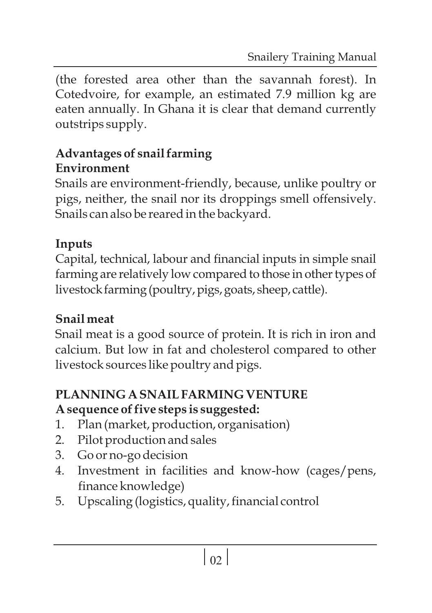(the forested area other than the savannah forest). In Cotedvoire, for example, an estimated 7.9 million kg are eaten annually. In Ghana it is clear that demand currently outstrips supply.

### **Advantages of snail farming Environment**

Snails are environment-friendly, because, unlike poultry or pigs, neither, the snail nor its droppings smell offensively. Snails can also be reared in the backyard.

## **Inputs**

Capital, technical, labour and financial inputs in simple snail farming are relatively low compared to those in other types of livestock farming (poultry, pigs, goats, sheep, cattle).

## **Snail meat**

Snail meat is a good source of protein. It is rich in iron and calcium. But low in fat and cholesterol compared to other livestock sources like poultry and pigs.

### **PLANNING A SNAIL FARMING VENTURE A sequence of five steps is suggested:**

- 1. Plan (market, production, organisation)
- 2. Pilot production and sales
- 3. Go or no-go decision
- 4. Investment in facilities and know-how (cages/pens, finance knowledge)
- 5. Upscaling (logistics, quality, financial control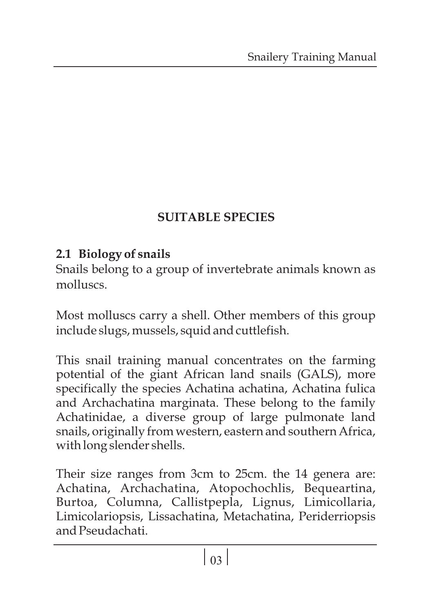### **SUITABLE SPECIES**

### **2.1 Biology of snails**

Snails belong to a group of invertebrate animals known as molluscs.

Most molluscs carry a shell. Other members of this group include slugs, mussels, squid and cuttlefish.

This snail training manual concentrates on the farming potential of the giant African land snails (GALS), more specifically the species Achatina achatina, Achatina fulica and Archachatina marginata. These belong to the family Achatinidae, a diverse group of large pulmonate land snails, originally from western, eastern and southern Africa, with long slender shells.

Their size ranges from 3cm to 25cm. the 14 genera are: Achatina, Archachatina, Atopochochlis, Bequeartina, Burtoa, Columna, Callistpepla, Lignus, Limicollaria, Limicolariopsis, Lissachatina, Metachatina, Periderriopsis and Pseudachati.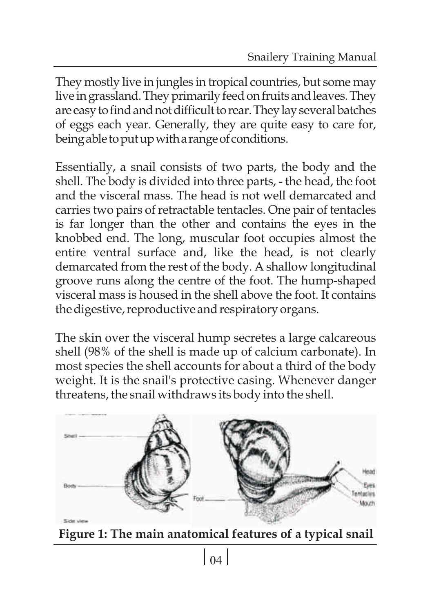They mostly live in jungles in tropical countries, but some may live in grassland. They primarily feed on fruits and leaves. They are easy to find and not difficult to rear. They lay several batches of eggs each year. Generally, they are quite easy to care for, being able to put up with a range of conditions.

Essentially, a snail consists of two parts, the body and the shell. The body is divided into three parts, - the head, the foot and the visceral mass. The head is not well demarcated and carries two pairs of retractable tentacles. One pair of tentacles is far longer than the other and contains the eyes in the knobbed end. The long, muscular foot occupies almost the entire ventral surface and, like the head, is not clearly demarcated from the rest of the body. A shallow longitudinal groove runs along the centre of the foot. The hump-shaped visceral mass is housed in the shell above the foot. It contains the digestive, reproductive and respiratory organs.

The skin over the visceral hump secretes a large calcareous shell (98% of the shell is made up of calcium carbonate). In most species the shell accounts for about a third of the body weight. It is the snail's protective casing. Whenever danger threatens, the snail withdraws its body into the shell.



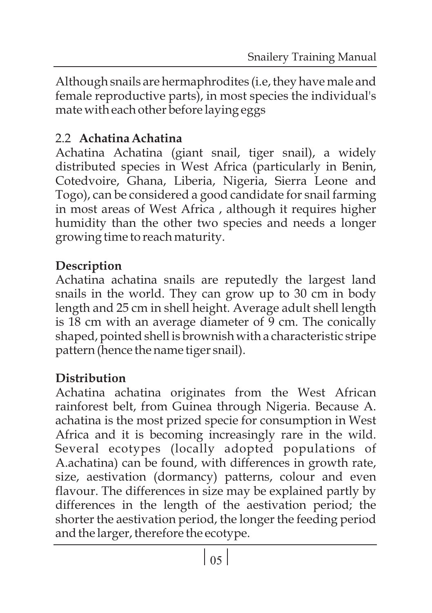Although snails are hermaphrodites (i.e, they have male and female reproductive parts), in most species the individual's mate with each other before laying eggs

### 2.2 **Achatina Achatina**

Achatina Achatina (giant snail, tiger snail), a widely distributed species in West Africa (particularly in Benin, Cotedvoire, Ghana, Liberia, Nigeria, Sierra Leone and Togo), can be considered a good candidate for snail farming in most areas of West Africa , although it requires higher humidity than the other two species and needs a longer growing time to reach maturity.

## **Description**

Achatina achatina snails are reputedly the largest land snails in the world. They can grow up to 30 cm in body length and 25 cm in shell height. Average adult shell length is 18 cm with an average diameter of 9 cm. The conically shaped, pointed shell is brownish with a characteristic stripe pattern (hence the name tiger snail).

## **Distribution**

Achatina achatina originates from the West African rainforest belt, from Guinea through Nigeria. Because A. achatina is the most prized specie for consumption in West Africa and it is becoming increasingly rare in the wild. Several ecotypes (locally adopted populations of A.achatina) can be found, with differences in growth rate, size, aestivation (dormancy) patterns, colour and even flavour. The differences in size may be explained partly by differences in the length of the aestivation period; the shorter the aestivation period, the longer the feeding period and the larger, therefore the ecotype.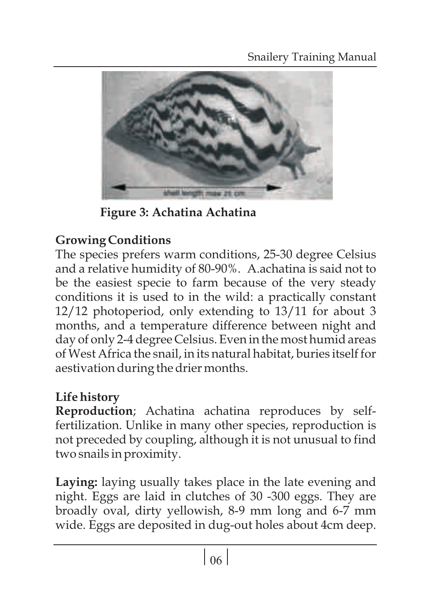

**Figure 3: Achatina Achatina**

## **Growing Conditions**

The species prefers warm conditions, 25-30 degree Celsius and a relative humidity of 80-90%. A.achatina is said not to be the easiest specie to farm because of the very steady conditions it is used to in the wild: a practically constant 12/12 photoperiod, only extending to 13/11 for about 3 months, and a temperature difference between night and day of only 2-4 degree Celsius. Even in the most humid areas of West Africa the snail, in its natural habitat, buries itself for aestivation during the drier months.

### **Life history**

**Reproduction**; Achatina achatina reproduces by selffertilization. Unlike in many other species, reproduction is not preceded by coupling, although it is not unusual to find two snails in proximity.

**Laying:** laying usually takes place in the late evening and night. Eggs are laid in clutches of 30 -300 eggs. They are broadly oval, dirty yellowish, 8-9 mm long and 6-7 mm wide. Eggs are deposited in dug-out holes about 4cm deep.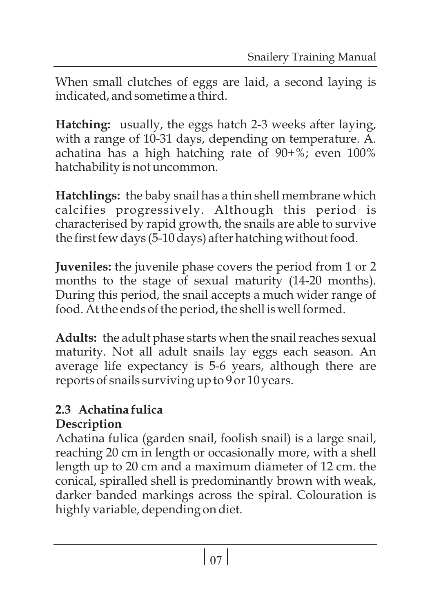When small clutches of eggs are laid, a second laying is indicated, and sometime a third.

**Hatching:** usually, the eggs hatch 2-3 weeks after laying, with a range of 10-31 days, depending on temperature. A. achatina has a high hatching rate of 90+%; even 100% hatchability is not uncommon.

**Hatchlings:** the baby snail has a thin shell membrane which calcifies progressively. Although this period is characterised by rapid growth, the snails are able to survive the first few days (5-10 days) after hatching without food.

**Juveniles:** the juvenile phase covers the period from 1 or 2 months to the stage of sexual maturity (14-20 months). During this period, the snail accepts a much wider range of food. At the ends of the period, the shell is well formed.

**Adults:** the adult phase starts when the snail reaches sexual maturity. Not all adult snails lay eggs each season. An average life expectancy is 5-6 years, although there are reports of snails surviving up to 9 or 10 years.

### **2.3 Achatina fulica Description**

Achatina fulica (garden snail, foolish snail) is a large snail, reaching 20 cm in length or occasionally more, with a shell length up to 20 cm and a maximum diameter of 12 cm. the conical, spiralled shell is predominantly brown with weak, darker banded markings across the spiral. Colouration is highly variable, depending on diet.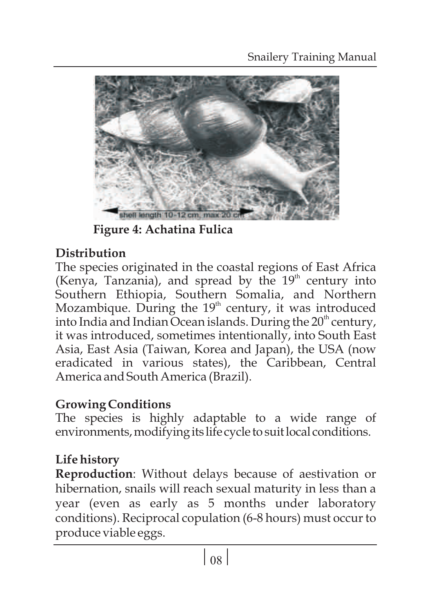

**Figure 4: Achatina Fulica**

## **Distribution**

The species originated in the coastal regions of East Africa (Kenya, Tanzania), and spread by the  $19<sup>th</sup>$  century into Southern Ethiopia, Southern Somalia, and Northern Mozambique. During the  $19<sup>th</sup>$  century, it was introduced into India and Indian Ocean islands. During the  $20<sup>th</sup>$  century, it was introduced, sometimes intentionally, into South East Asia, East Asia (Taiwan, Korea and Japan), the USA (now eradicated in various states), the Caribbean, Central America and South America (Brazil).

### **Growing Conditions**

The species is highly adaptable to a wide range of environments, modifying its life cycle to suit local conditions.

## **Life history**

**Reproduction**: Without delays because of aestivation or hibernation, snails will reach sexual maturity in less than a year (even as early as 5 months under laboratory conditions). Reciprocal copulation (6-8 hours) must occur to produce viable eggs.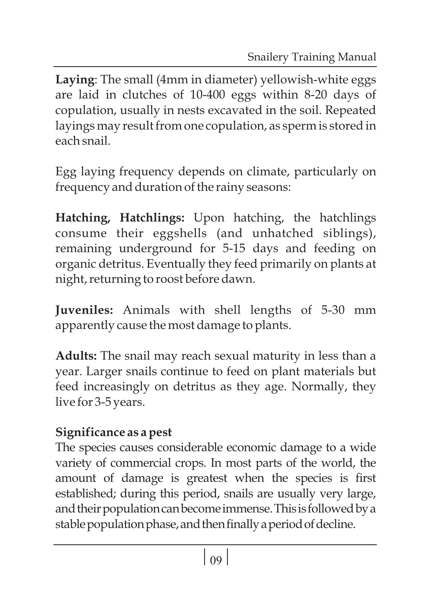**Laying**: The small (4mm in diameter) yellowish-white eggs are laid in clutches of 10-400 eggs within 8-20 days of copulation, usually in nests excavated in the soil. Repeated layings may result from one copulation, as sperm is stored in each snail.

Egg laying frequency depends on climate, particularly on frequency and duration of the rainy seasons:

**Hatching, Hatchlings:** Upon hatching, the hatchlings consume their eggshells (and unhatched siblings), remaining underground for 5-15 days and feeding on organic detritus. Eventually they feed primarily on plants at night, returning to roost before dawn.

**Juveniles:** Animals with shell lengths of 5-30 mm apparently cause the most damage to plants.

**Adults:** The snail may reach sexual maturity in less than a year. Larger snails continue to feed on plant materials but feed increasingly on detritus as they age. Normally, they live for 3-5 years.

## **Significance as a pest**

The species causes considerable economic damage to a wide variety of commercial crops. In most parts of the world, the amount of damage is greatest when the species is first established; during this period, snails are usually very large, and their population can become immense. This is followed by a stable population phase, and then finally a period of decline.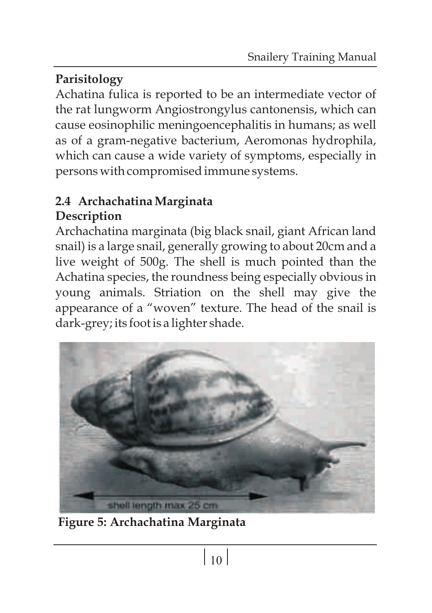## **Parisitology**

Achatina fulica is reported to be an intermediate vector of the rat lungworm Angiostrongylus cantonensis, which can cause eosinophilic meningoencephalitis in humans; as well as of a gram-negative bacterium, Aeromonas hydrophila, which can cause a wide variety of symptoms, especially in persons with compromised immune systems.

### **2.4 Archachatina Marginata Description**

Archachatina marginata (big black snail, giant African land snail) is a large snail, generally growing to about 20cm and a live weight of 500g. The shell is much pointed than the Achatina species, the roundness being especially obvious in young animals. Striation on the shell may give the appearance of a "woven" texture. The head of the snail is dark-grey; its foot is a lighter shade.



**Figure 5: Archachatina Marginata**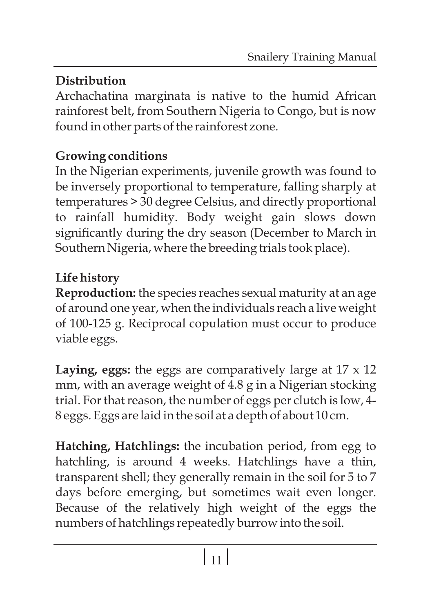## **Distribution**

Archachatina marginata is native to the humid African rainforest belt, from Southern Nigeria to Congo, but is now found in other parts of the rainforest zone.

### **Growing conditions**

In the Nigerian experiments, juvenile growth was found to be inversely proportional to temperature, falling sharply at temperatures > 30 degree Celsius, and directly proportional to rainfall humidity. Body weight gain slows down significantly during the dry season (December to March in Southern Nigeria, where the breeding trials took place).

## **Life history**

**Reproduction:** the species reaches sexual maturity at an age of around one year, when the individuals reach a live weight of 100-125 g. Reciprocal copulation must occur to produce viable eggs.

**Laying, eggs:** the eggs are comparatively large at 17 x 12 mm, with an average weight of 4.8 g in a Nigerian stocking trial. For that reason, the number of eggs per clutch is low, 4- 8 eggs. Eggs are laid in the soil at a depth of about 10 cm.

**Hatching, Hatchlings:** the incubation period, from egg to hatchling, is around 4 weeks. Hatchlings have a thin, transparent shell; they generally remain in the soil for 5 to 7 days before emerging, but sometimes wait even longer. Because of the relatively high weight of the eggs the numbers of hatchlings repeatedly burrow into the soil.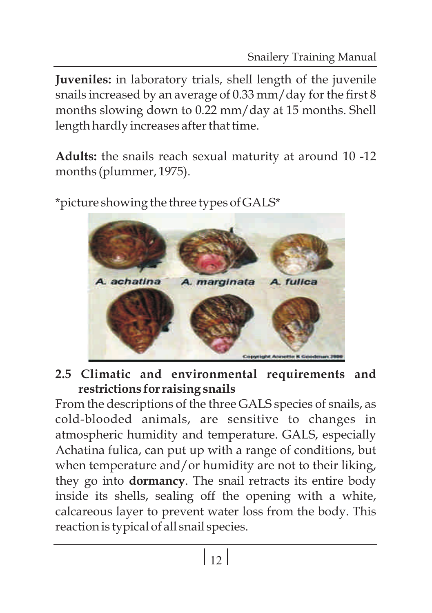**Juveniles:** in laboratory trials, shell length of the juvenile snails increased by an average of 0.33 mm/day for the first 8 months slowing down to 0.22 mm/day at 15 months. Shell length hardly increases after that time.

**Adults:** the snails reach sexual maturity at around 10 -12 months (plummer, 1975).

A achatina A. marginata A. fullca Copyright Annette it

\*picture showing the three types of GALS\*

**2.5 Climatic and environmental requirements and restrictions for raising snails**

From the descriptions of the three GALS species of snails, as cold-blooded animals, are sensitive to changes in atmospheric humidity and temperature. GALS, especially Achatina fulica, can put up with a range of conditions, but when temperature and/or humidity are not to their liking, they go into **dormancy**. The snail retracts its entire body inside its shells, sealing off the opening with a white, calcareous layer to prevent water loss from the body. This reaction is typical of all snail species.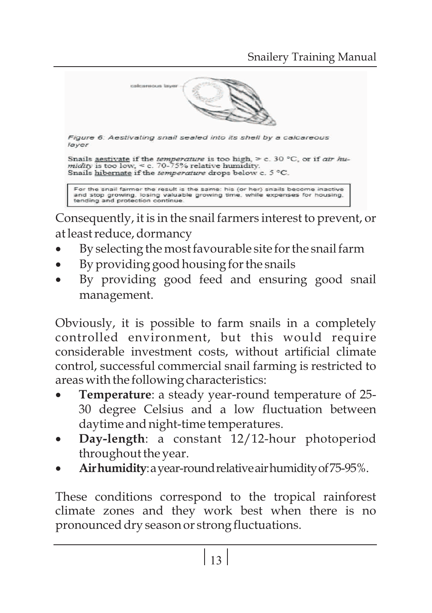

Consequently, it is in the snail farmers interest to prevent, or at least reduce, dormancy

- at least reduce, dormancy<br>• By selecting the most
- ·By selecting the most favourable site for the snail farm
- ·By providing good housing for the snails By providing good feed and ensuring good snail management.

Obviously, it is possible to farm snails in a completely controlled environment, but this would require considerable investment costs, without artificial climate control, successful commercial snail farming is restricted to

- ·areas with the following characteristics: **Temperature**: a steady year-round temperature of 25- 30 degree Celsius and a low fluctuation between
- ·daytime and night-time temperatures. **Day-length**: a constant 12/12-hour photoperiod
- ·throughout the year. **Airhumidity**:ayear-roundrelativeairhumidityof75-95%.

These conditions correspond to the tropical rainforest climate zones and they work best when there is no pronounced dry season or strong fluctuations.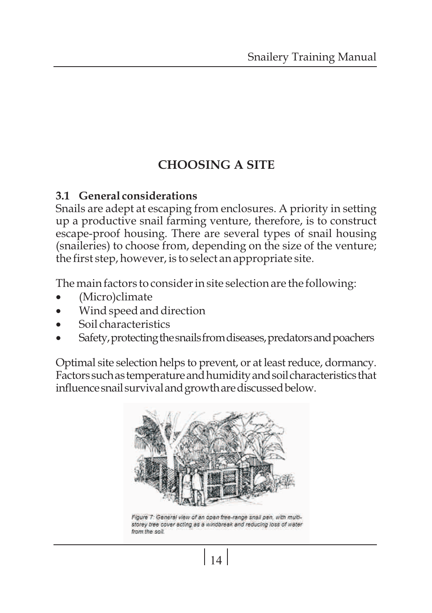### **CHOOSING A SITE**

#### **3.1 General considerations**

Snails are adept at escaping from enclosures. A priority in setting up a productive snail farming venture, therefore, is to construct escape-proof housing. There are several types of snail housing (snaileries) to choose from, depending on the size of the venture; the first step, however, is to select an appropriate site.

The main factors to consider in site selection are the following:<br>• (Micro)climate

- 
- ·(Micro)climate
- ·Wind speed and direction
- ·Soil characteristics Safety,protectingthesnailsfromdiseases,predatorsandpoachers

Optimal site selection helps to prevent, or at least reduce, dormancy. Factorssuchastemperatureandhumidityandsoilcharacteristicsthat influence snail survival and growth are discussed below.



Figure 7: General view of an open free-range snall pen, with multistorey tree cover scting as a windbreak and reducing loss of water from the soil.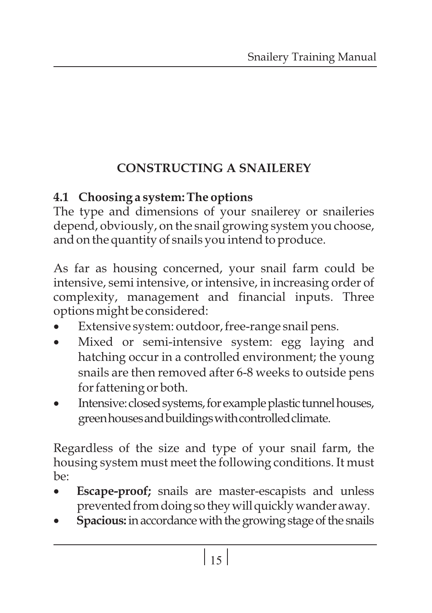## **CONSTRUCTING A SNAILEREY**

## **4.1 Choosing a system: The options**

The type and dimensions of your snailerey or snaileries depend, obviously, on the snail growing system you choose, and on the quantity of snails you intend to produce.

As far as housing concerned, your snail farm could be intensive, semi intensive, or intensive, in increasing order of complexity, management and financial inputs. Three options might be considered:<br>• Extensive system: outdoor, free-range snail pens.

- 
- ·Extensive system: outdoor, free-range snail pens. Mixed or semi-intensive system: egg laying and hatching occur in a controlled environment; the young snails are then removed after 6-8 weeks to outside pens
- ·for fattening or both. Intensive:closedsystems,forexampleplastictunnelhouses, green houses and buildings with controlled climate.

Regardless of the size and type of your snail farm, the housing system must meet the following conditions. It must  $he:$ 

- **Escape-proof;** snails are master-escapists and unless prevented from doing so they will quickly wander away.
- **•** prevented from doing so they will quickly wander away.<br> **Spacious:** in accordance with the growing stage of the snails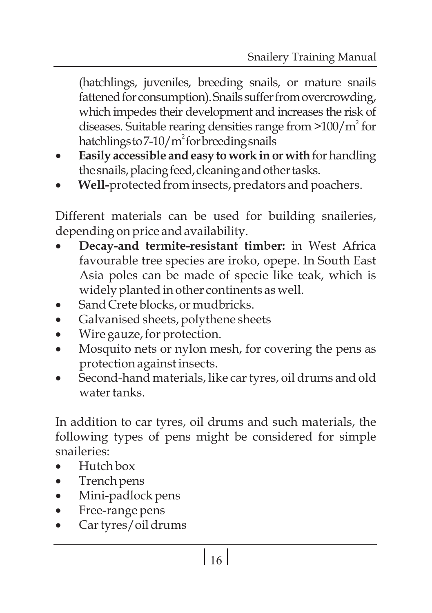(hatchlings, juveniles, breeding snails, or mature snails fattened for consumption). Snails suffer from overcrowding, which impedes their development and increases the risk of diseases. Suitable rearing densities range from  $>100/m^2$  for hatchlings to  $7-10/m^2$  for breeding snails

- ·hatchlingsto7-10/m forbreedingsnails **Easily accessible andeasy to workinor with**forhandling
- the snails, placing feed, cleaning and other tasks.<br>• **Well-**protected from insects, predators and poachers.

Different materials can be used for building snaileries,

- ·depending on price and availability. **Decay-and termite-resistant timber:** in West Africa favourable tree species are iroko, opepe. In South East Asia poles can be made of specie like teak, which is widely planted in other continents as well.<br>Sand Crete blocks, or mudbricks.
- 
- Sand Crete blocks, or mudbricks.<br>• Galvanised sheets, polythene she
- ·Galvanised sheets, polythene sheets
- Wire gauze, for protection.<br>• Mosquito nets or nylon mesh, for covering the pens as
- ·protection against insects. Second-hand materials, like car tyres, oil drums and old water tanks.

In addition to car tyres, oil drums and such materials, the following types of pens might be considered for simple snaileries:

- ·Hutch box
- Trench pens
- ·Trench pens
- ·Mini-padlock pens
- ·Free-range pens Car tyres/oil drums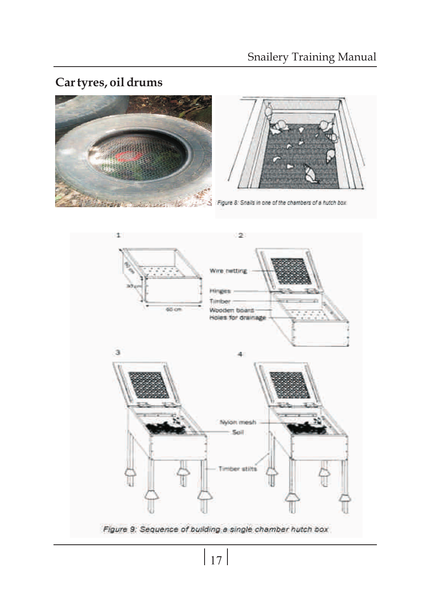### **Car tyres, oil drums**





Figure 8: Snalls in one of the chambers of a hutch box.

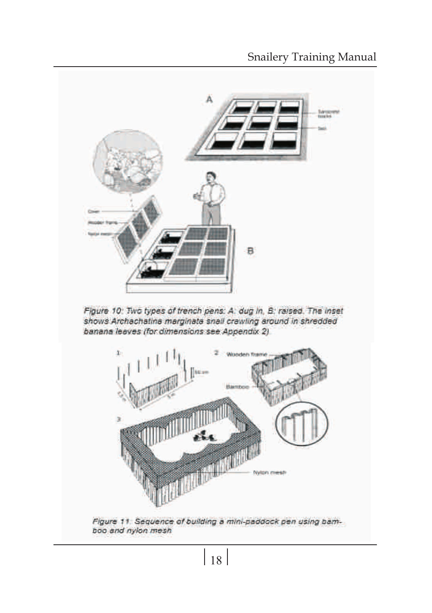

Figure 10: Two types of trench pens: A. dug in, B. raised. The inset shows Archachatina marginata snall crawling around in shredded banana leaves (for dimensions see Appendix 2)



Figure 11. Sequence of building a mini-paddock pen using bamboo and nylon mesh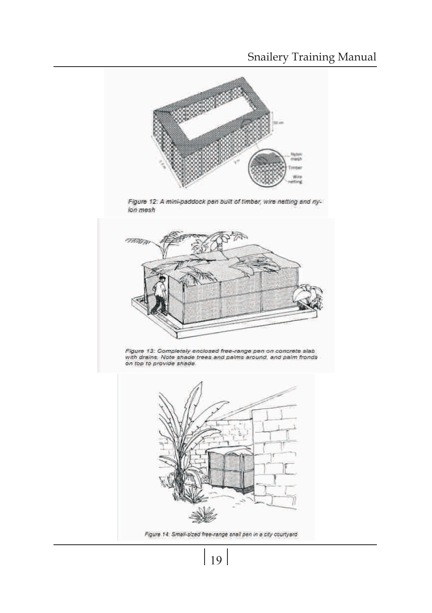

 $|19|$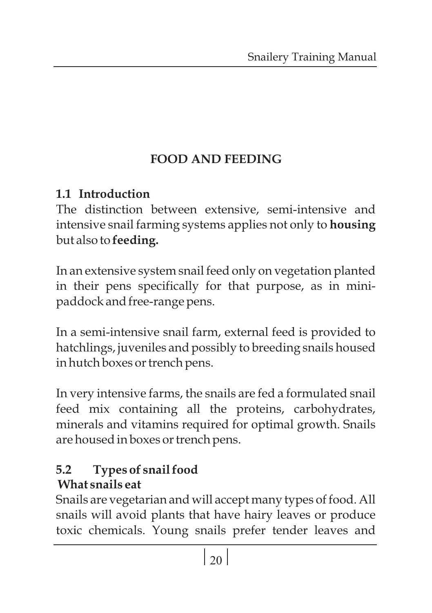# **FOOD AND FEEDING**

### **1.1 Introduction**

The distinction between extensive, semi-intensive and intensive snail farming systems applies not only to **housing** but also to **feeding.**

In an extensive system snail feed only on vegetation planted in their pens specifically for that purpose, as in minipaddock and free-range pens.

In a semi-intensive snail farm, external feed is provided to hatchlings, juveniles and possibly to breeding snails housed in hutch boxes or trench pens.

In very intensive farms, the snails are fed a formulated snail feed mix containing all the proteins, carbohydrates, minerals and vitamins required for optimal growth. Snails are housed in boxes or trench pens.

### **5.2 Types of snail food What snails eat**

Snails are vegetarian and will accept many types of food. All snails will avoid plants that have hairy leaves or produce toxic chemicals. Young snails prefer tender leaves and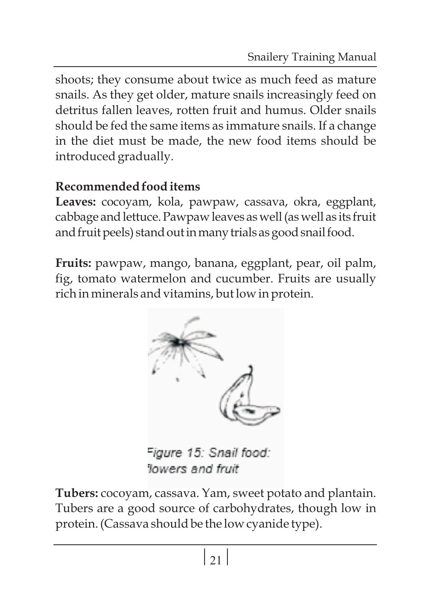shoots; they consume about twice as much feed as mature snails. As they get older, mature snails increasingly feed on detritus fallen leaves, rotten fruit and humus. Older snails should be fed the same items as immature snails. If a change in the diet must be made, the new food items should be introduced gradually.

### **Recommended food items**

**Leaves:** cocoyam, kola, pawpaw, cassava, okra, eggplant, cabbage and lettuce. Pawpaw leaves as well (as well as its fruit and fruit peels) stand out in many trials as good snail food.

**Fruits:** pawpaw, mango, banana, eggplant, pear, oil palm, fig, tomato watermelon and cucumber. Fruits are usually rich in minerals and vitamins, but low in protein.



Figure 15: Snail food: lowers and fruit

**Tubers:** cocoyam, cassava. Yam, sweet potato and plantain. Tubers are a good source of carbohydrates, though low in protein. (Cassava should be the low cyanide type).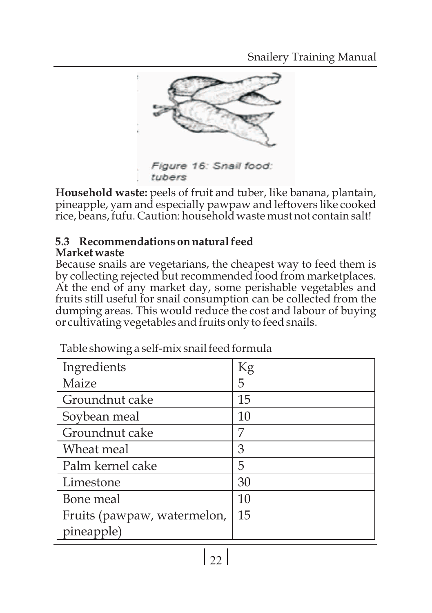

**Household waste:** peels of fruit and tuber, like banana, plantain, pineapple, yam and especially pawpaw and leftovers like cooked rice, beans, fufu. Caution: household waste must not contain salt!

#### **5.3 Recommendations on natural feed Market waste**

Because snails are vegetarians, the cheapest way to feed them is by collecting rejected but recommended food from marketplaces. At the end of any market day, some perishable vegetables and fruits still useful for snail consumption can be collected from the dumping areas. This would reduce the cost and labour of buying or cultivating vegetables and fruits only to feed snails.

| Ingredients                 | Kg |
|-----------------------------|----|
| Maize                       | 5  |
| Groundnut cake              | 15 |
| Soybean meal                | 10 |
| Groundnut cake              | 7  |
| Wheat meal                  | З  |
| Palm kernel cake            | 5  |
| Limestone                   | 30 |
| Bone meal                   | 10 |
| Fruits (pawpaw, watermelon, | 15 |
| pineapple)                  |    |

Table showing a self-mix snail feed formula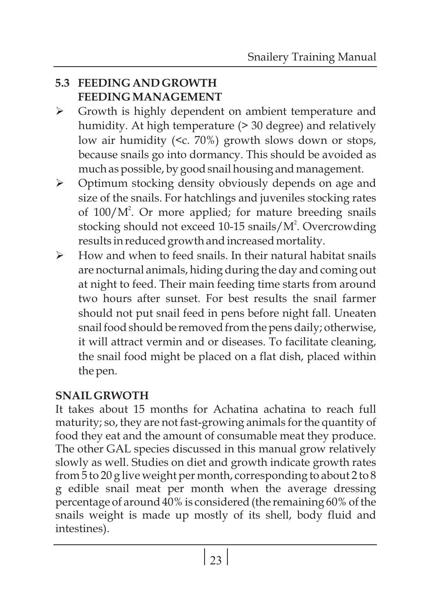#### **5.3 FEEDING AND GROWTH FEEDING MANAGEMENT**

- Ø Growth is highly dependent on ambient temperature and humidity. At high temperature (> 30 degree) and relatively low air humidity (<c. 70%) growth slows down or stops, because snails go into dormancy. This should be avoided as much as possible, by good snail housing and management.
- Ø Optimum stocking density obviously depends on age and size of the snails. For hatchlings and juveniles stocking rates of  $100/M<sup>2</sup>$ . Or more applied; for mature breeding snails stocking should not exceed 10-15 snails/M<sup>2</sup>. Overcrowding results in reduced growth and increased mortality.
- $\triangleright$  How and when to feed snails. In their natural habitat snails are nocturnal animals, hiding during the day and coming out at night to feed. Their main feeding time starts from around two hours after sunset. For best results the snail farmer should not put snail feed in pens before night fall. Uneaten snail food should be removed from the pens daily; otherwise, it will attract vermin and or diseases. To facilitate cleaning, the snail food might be placed on a flat dish, placed within the pen.

#### **SNAIL GRWOTH**

It takes about 15 months for Achatina achatina to reach full maturity; so, they are not fast-growing animals for the quantity of food they eat and the amount of consumable meat they produce. The other GAL species discussed in this manual grow relatively slowly as well. Studies on diet and growth indicate growth rates from 5 to 20 g live weight per month, corresponding to about 2 to 8 g edible snail meat per month when the average dressing percentage of around 40% is considered (the remaining 60% of the snails weight is made up mostly of its shell, body fluid and intestines).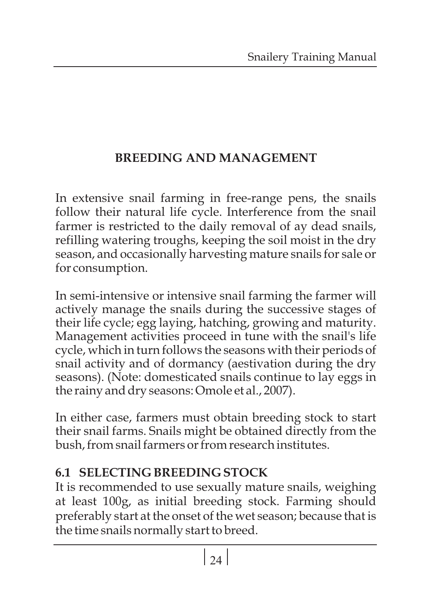### **BREEDING AND MANAGEMENT**

In extensive snail farming in free-range pens, the snails follow their natural life cycle. Interference from the snail farmer is restricted to the daily removal of ay dead snails, refilling watering troughs, keeping the soil moist in the dry season, and occasionally harvesting mature snails for sale or for consumption.

In semi-intensive or intensive snail farming the farmer will actively manage the snails during the successive stages of their life cycle; egg laying, hatching, growing and maturity. Management activities proceed in tune with the snail's life cycle, which in turn follows the seasons with their periods of snail activity and of dormancy (aestivation during the dry seasons). (Note: domesticated snails continue to lay eggs in the rainy and dry seasons: Omole et al., 2007).

In either case, farmers must obtain breeding stock to start their snail farms. Snails might be obtained directly from the bush, from snail farmers or from research institutes.

### **6.1 SELECTING BREEDING STOCK**

It is recommended to use sexually mature snails, weighing at least 100g, as initial breeding stock. Farming should preferably start at the onset of the wet season; because that is the time snails normally start to breed.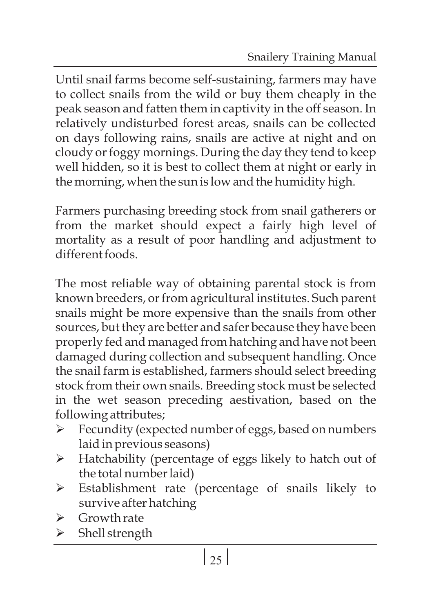Until snail farms become self-sustaining, farmers may have to collect snails from the wild or buy them cheaply in the peak season and fatten them in captivity in the off season. In relatively undisturbed forest areas, snails can be collected on days following rains, snails are active at night and on cloudy or foggy mornings. During the day they tend to keep well hidden, so it is best to collect them at night or early in the morning, when the sun is low and the humidity high.

Farmers purchasing breeding stock from snail gatherers or from the market should expect a fairly high level of mortality as a result of poor handling and adjustment to different foods.

The most reliable way of obtaining parental stock is from known breeders, or from agricultural institutes. Such parent snails might be more expensive than the snails from other sources, but they are better and safer because they have been properly fed and managed from hatching and have not been damaged during collection and subsequent handling. Once the snail farm is established, farmers should select breeding stock from their own snails. Breeding stock must be selected in the wet season preceding aestivation, based on the following attributes;

- Ø Fecundity (expected number of eggs, based on numbers laid in previous seasons)
- Ø Hatchability (percentage of eggs likely to hatch out of the total number laid)
- Ø Establishment rate (percentage of snails likely to survive after hatching
- Ø Growth rate
- Ø Shell strength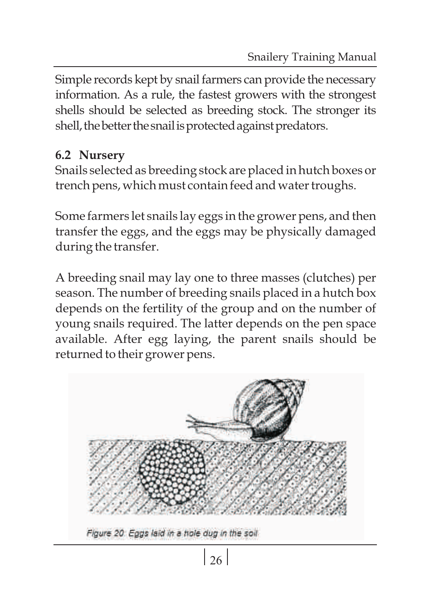Simple records kept by snail farmers can provide the necessary information. As a rule, the fastest growers with the strongest shells should be selected as breeding stock. The stronger its shell, the better the snail is protected against predators.

### **6.2 Nursery**

Snails selected as breeding stock are placed in hutch boxes or trench pens, which must contain feed and water troughs.

Some farmers let snails lay eggs in the grower pens, and then transfer the eggs, and the eggs may be physically damaged during the transfer.

A breeding snail may lay one to three masses (clutches) per season. The number of breeding snails placed in a hutch box depends on the fertility of the group and on the number of young snails required. The latter depends on the pen space available. After egg laying, the parent snails should be returned to their grower pens.



Figure 20. Eggs laid in a hole dug in the soil.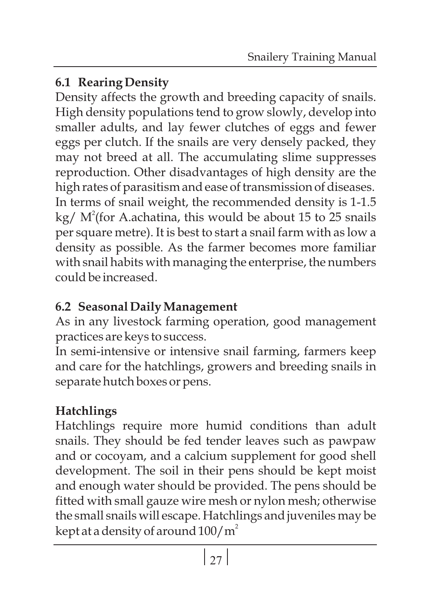### **6.1 Rearing Density**

Density affects the growth and breeding capacity of snails. High density populations tend to grow slowly, develop into smaller adults, and lay fewer clutches of eggs and fewer eggs per clutch. If the snails are very densely packed, they may not breed at all. The accumulating slime suppresses reproduction. Other disadvantages of high density are the high rates of parasitism and ease of transmission of diseases. In terms of snail weight, the recommended density is 1-1.5 kg/  $M^2$ (for A.achatina, this would be about 15 to 25 snails per square metre). It is best to start a snail farm with as low a density as possible. As the farmer becomes more familiar with snail habits with managing the enterprise, the numbers could be increased.

## **6.2 Seasonal Daily Management**

As in any livestock farming operation, good management practices are keys to success.

In semi-intensive or intensive snail farming, farmers keep and care for the hatchlings, growers and breeding snails in separate hutch boxes or pens.

## **Hatchlings**

Hatchlings require more humid conditions than adult snails. They should be fed tender leaves such as pawpaw and or cocoyam, and a calcium supplement for good shell development. The soil in their pens should be kept moist and enough water should be provided. The pens should be fitted with small gauze wire mesh or nylon mesh; otherwise the small snails will escape. Hatchlings and juveniles may be kept at a density of around  $100/\mathrm{m}^2$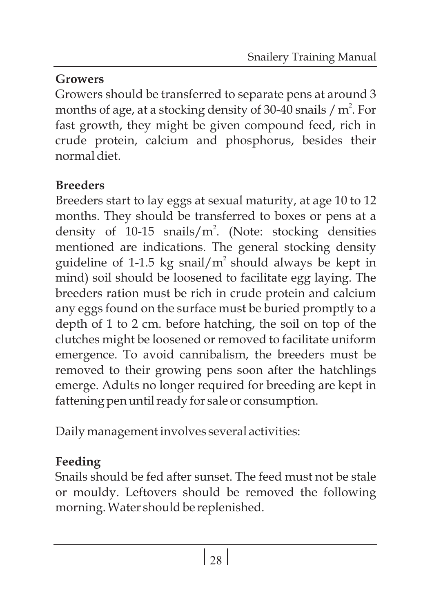## **Growers**

Growers should be transferred to separate pens at around 3 months of age, at a stocking density of 30-40 snails  $/m<sup>2</sup>$ . For fast growth, they might be given compound feed, rich in crude protein, calcium and phosphorus, besides their normal diet.

## **Breeders**

Breeders start to lay eggs at sexual maturity, at age 10 to 12 months. They should be transferred to boxes or pens at a density of 10-15 snails/ $m^2$ . (Note: stocking densities mentioned are indications. The general stocking density guideline of 1-1.5 kg snail/ $m<sup>2</sup>$  should always be kept in mind) soil should be loosened to facilitate egg laying. The breeders ration must be rich in crude protein and calcium any eggs found on the surface must be buried promptly to a depth of 1 to 2 cm. before hatching, the soil on top of the clutches might be loosened or removed to facilitate uniform emergence. To avoid cannibalism, the breeders must be removed to their growing pens soon after the hatchlings emerge. Adults no longer required for breeding are kept in fattening pen until ready for sale or consumption.

Daily management involves several activities:

## **Feeding**

Snails should be fed after sunset. The feed must not be stale or mouldy. Leftovers should be removed the following morning. Water should be replenished.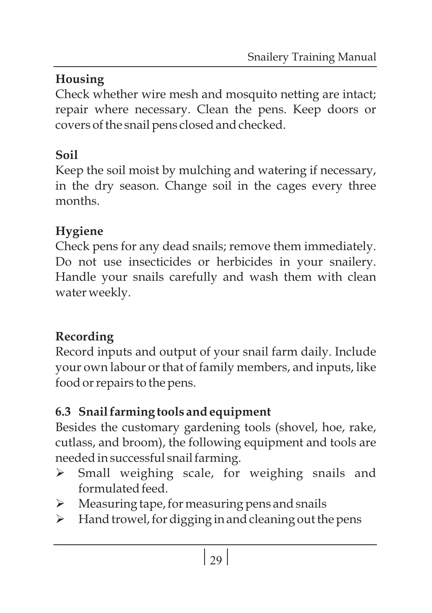## **Housing**

Check whether wire mesh and mosquito netting are intact; repair where necessary. Clean the pens. Keep doors or covers of the snail pens closed and checked.

## **Soil**

Keep the soil moist by mulching and watering if necessary, in the dry season. Change soil in the cages every three months.

## **Hygiene**

Check pens for any dead snails; remove them immediately. Do not use insecticides or herbicides in your snailery. Handle your snails carefully and wash them with clean water weekly.

## **Recording**

Record inputs and output of your snail farm daily. Include your own labour or that of family members, and inputs, like food or repairs to the pens.

## **6.3 Snail farming tools and equipment**

Besides the customary gardening tools (shovel, hoe, rake, cutlass, and broom), the following equipment and tools are needed in successful snail farming.

- Ø Small weighing scale, for weighing snails and formulated feed.
- Ø Measuring tape, for measuring pens and snails
- > Hand trowel, for digging in and cleaning out the pens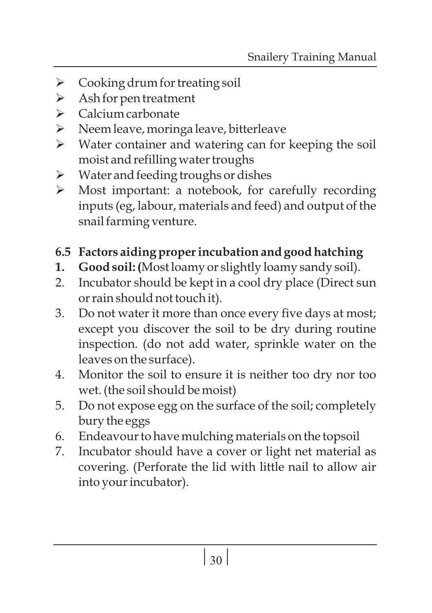- $\triangleright$  Cooking drum for treating soil
- Ø Ash for pen treatment
- Ø Calcium carbonate
- Ø Neem leave, moringa leave, bitterleave
- Ø Water container and watering can for keeping the soil moist and refilling water troughs
- Ø Water and feeding troughs or dishes
- Ø Most important: a notebook, for carefully recording inputs (eg, labour, materials and feed) and output of the snail farming venture.

### **6.5 Factors aiding proper incubation and good hatching**

- **1. Good soil: (**Most loamy or slightly loamy sandy soil).
- 2. Incubator should be kept in a cool dry place (Direct sun or rain should not touch it).
- 3. Do not water it more than once every five days at most; except you discover the soil to be dry during routine inspection. (do not add water, sprinkle water on the leaves on the surface).
- 4. Monitor the soil to ensure it is neither too dry nor too wet. (the soil should be moist)
- 5. Do not expose egg on the surface of the soil; completely bury the eggs
- 6. Endeavour to have mulching materials on the topsoil
- 7. Incubator should have a cover or light net material as covering. (Perforate the lid with little nail to allow air into your incubator).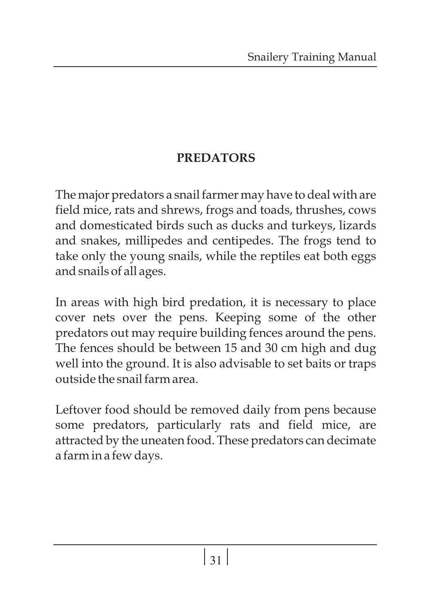### **PREDATORS**

The major predators a snail farmer may have to deal with are field mice, rats and shrews, frogs and toads, thrushes, cows and domesticated birds such as ducks and turkeys, lizards and snakes, millipedes and centipedes. The frogs tend to take only the young snails, while the reptiles eat both eggs and snails of all ages.

In areas with high bird predation, it is necessary to place cover nets over the pens. Keeping some of the other predators out may require building fences around the pens. The fences should be between 15 and 30 cm high and dug well into the ground. It is also advisable to set baits or traps outside the snail farm area.

Leftover food should be removed daily from pens because some predators, particularly rats and field mice, are attracted by the uneaten food. These predators can decimate a farm in a few days.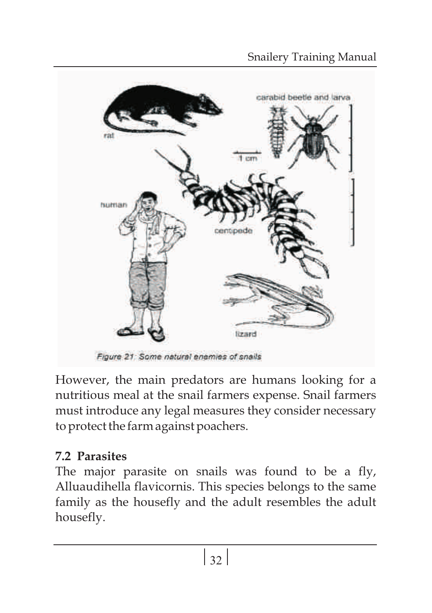

However, the main predators are humans looking for a nutritious meal at the snail farmers expense. Snail farmers must introduce any legal measures they consider necessary to protect the farm against poachers.

### **7.2 Parasites**

The major parasite on snails was found to be a fly, Alluaudihella flavicornis. This species belongs to the same family as the housefly and the adult resembles the adult housefly.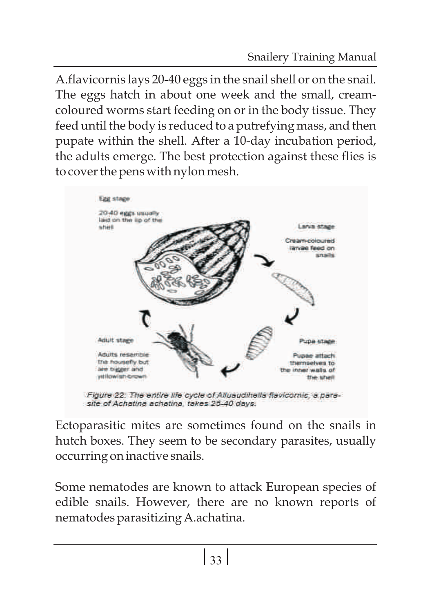A.flavicornis lays 20-40 eggs in the snail shell or on the snail. The eggs hatch in about one week and the small, creamcoloured worms start feeding on or in the body tissue. They feed until the body is reduced to a putrefying mass, and then pupate within the shell. After a 10-day incubation period, the adults emerge. The best protection against these flies is to cover the pens with nylon mesh.



Ectoparasitic mites are sometimes found on the snails in hutch boxes. They seem to be secondary parasites, usually occurring on inactive snails.

Some nematodes are known to attack European species of edible snails. However, there are no known reports of nematodes parasitizing A.achatina.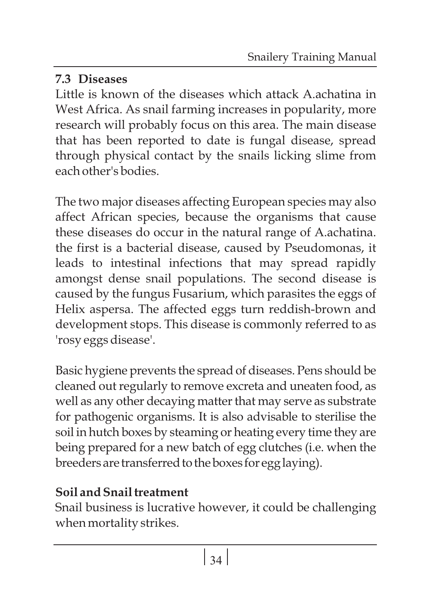### **7.3 Diseases**

Little is known of the diseases which attack A.achatina in West Africa. As snail farming increases in popularity, more research will probably focus on this area. The main disease that has been reported to date is fungal disease, spread through physical contact by the snails licking slime from each other's bodies.

The two major diseases affecting European species may also affect African species, because the organisms that cause these diseases do occur in the natural range of A.achatina. the first is a bacterial disease, caused by Pseudomonas, it leads to intestinal infections that may spread rapidly amongst dense snail populations. The second disease is caused by the fungus Fusarium, which parasites the eggs of Helix aspersa. The affected eggs turn reddish-brown and development stops. This disease is commonly referred to as 'rosy eggs disease'.

Basic hygiene prevents the spread of diseases. Pens should be cleaned out regularly to remove excreta and uneaten food, as well as any other decaying matter that may serve as substrate for pathogenic organisms. It is also advisable to sterilise the soil in hutch boxes by steaming or heating every time they are being prepared for a new batch of egg clutches (i.e. when the breeders are transferred to the boxes for egg laying).

# **Soil and Snail treatment**

Snail business is lucrative however, it could be challenging when mortality strikes.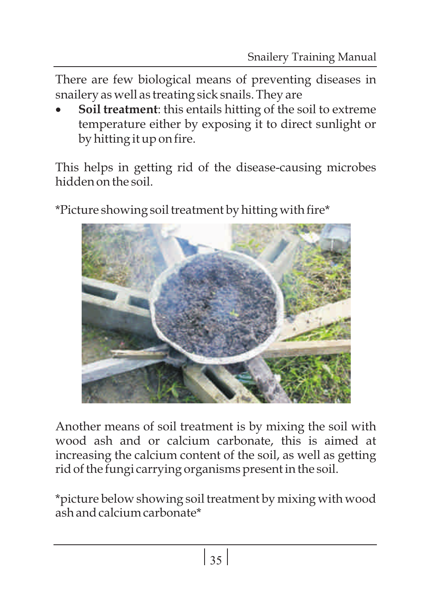There are few biological means of preventing diseases in

·snailery as well as treating sick snails. They are **Soil treatment**: this entails hitting of the soil to extreme temperature either by exposing it to direct sunlight or by hitting it up on fire.

This helps in getting rid of the disease-causing microbes hidden on the soil.



\*Picture showing soil treatment by hitting with fire\*

Another means of soil treatment is by mixing the soil with wood ash and or calcium carbonate, this is aimed at increasing the calcium content of the soil, as well as getting rid of the fungi carrying organisms present in the soil.

\*picture below showing soil treatment by mixing with wood ash and calcium carbonate\*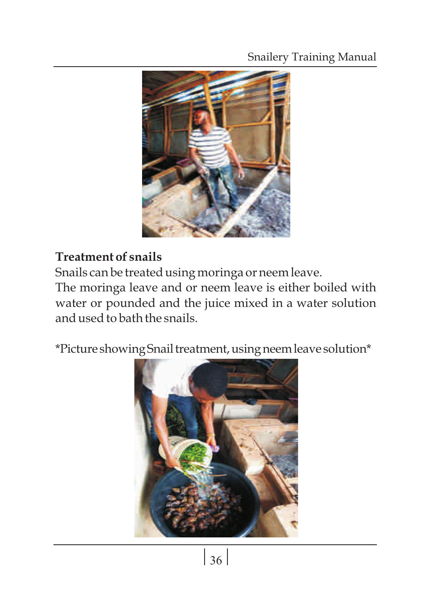### Snailery Training Manual



### **Treatment of snails**

Snails can be treated using moringa or neem leave.

The moringa leave and or neem leave is either boiled with water or pounded and the juice mixed in a water solution and used to bath the snails.

\*Picture showingSnailtreatment,usingneemleave solution\*

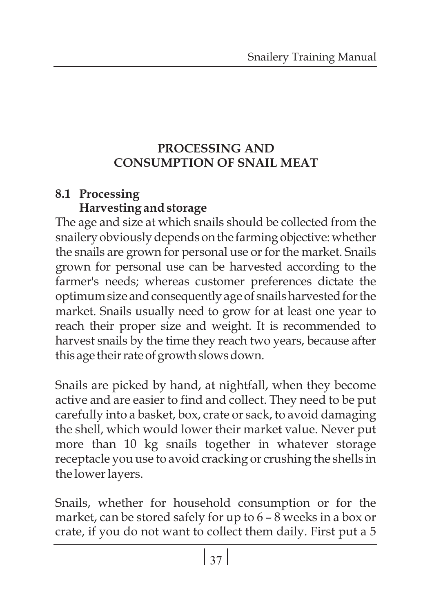### **PROCESSING AND CONSUMPTION OF SNAIL MEAT**

### **8.1 Processing Harvesting and storage**

The age and size at which snails should be collected from the snailery obviously depends on the farming objective: whether the snails are grown for personal use or for the market. Snails grown for personal use can be harvested according to the farmer's needs; whereas customer preferences dictate the optimum size and consequently age of snails harvested for the market. Snails usually need to grow for at least one year to reach their proper size and weight. It is recommended to harvest snails by the time they reach two years, because after this age their rate of growth slows down.

Snails are picked by hand, at nightfall, when they become active and are easier to find and collect. They need to be put carefully into a basket, box, crate or sack, to avoid damaging the shell, which would lower their market value. Never put more than 10 kg snails together in whatever storage receptacle you use to avoid cracking or crushing the shells in the lower layers.

Snails, whether for household consumption or for the market, can be stored safely for up to 6 – 8 weeks in a box or crate, if you do not want to collect them daily. First put a 5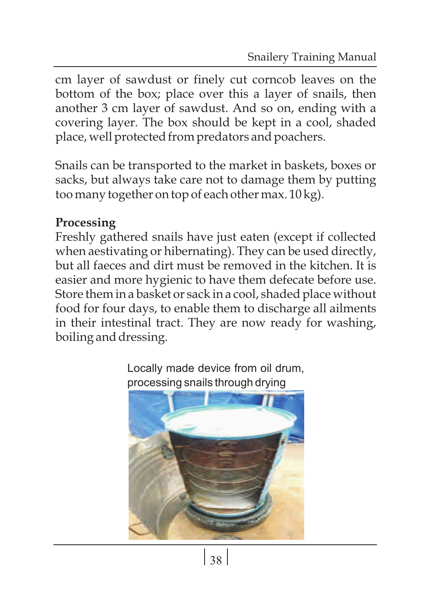cm layer of sawdust or finely cut corncob leaves on the bottom of the box; place over this a layer of snails, then another 3 cm layer of sawdust. And so on, ending with a covering layer. The box should be kept in a cool, shaded place, well protected from predators and poachers.

Snails can be transported to the market in baskets, boxes or sacks, but always take care not to damage them by putting too many together on top of each other max. 10 kg).

### **Processing**

Freshly gathered snails have just eaten (except if collected when aestivating or hibernating). They can be used directly, but all faeces and dirt must be removed in the kitchen. It is easier and more hygienic to have them defecate before use. Store them in a basket or sack in a cool, shaded place without food for four days, to enable them to discharge all ailments in their intestinal tract. They are now ready for washing, boiling and dressing.



Locally made device from oil drum, processing snails through drying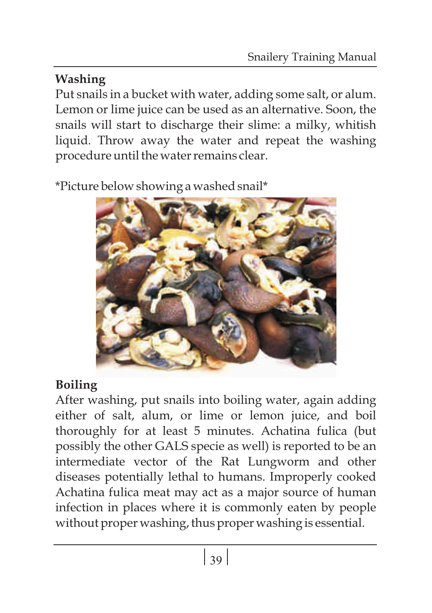## **Washing**

Put snails in a bucket with water, adding some salt, or alum. Lemon or lime juice can be used as an alternative. Soon, the snails will start to discharge their slime: a milky, whitish liquid. Throw away the water and repeat the washing procedure until the water remains clear.

\*Picture below showing a washed snail\*



## **Boiling**

After washing, put snails into boiling water, again adding either of salt, alum, or lime or lemon juice, and boil thoroughly for at least 5 minutes. Achatina fulica (but possibly the other GALS specie as well) is reported to be an intermediate vector of the Rat Lungworm and other diseases potentially lethal to humans. Improperly cooked Achatina fulica meat may act as a major source of human infection in places where it is commonly eaten by people without proper washing, thus proper washing is essential.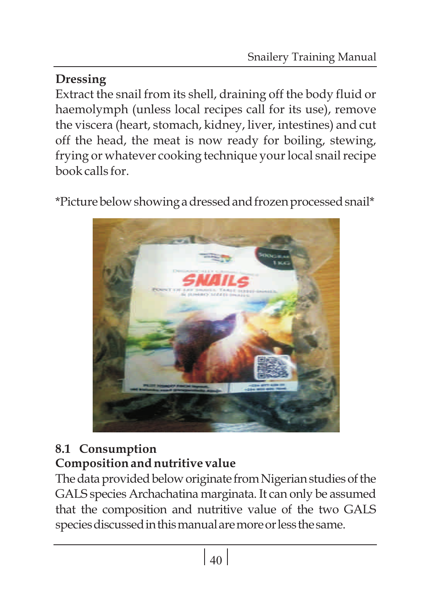## **Dressing**

Extract the snail from its shell, draining off the body fluid or haemolymph (unless local recipes call for its use), remove the viscera (heart, stomach, kidney, liver, intestines) and cut off the head, the meat is now ready for boiling, stewing, frying or whatever cooking technique your local snail recipe book calls for.

\*Picturebelowshowingadressedandfrozenprocessedsnail\*



## **8.1 Consumption Composition and nutritive value**

The data provided below originate from Nigerian studies of the GALS species Archachatina marginata. It can only be assumed that the composition and nutritive value of the two GALS species discussed in this manual are more or less the same.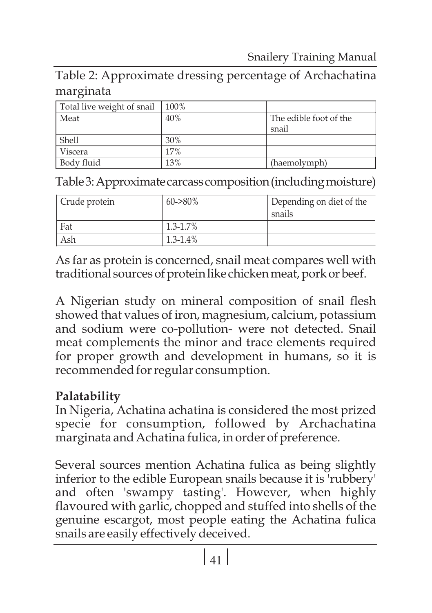### Table 2: Approximate dressing percentage of Archachatina marginata

| Total live weight of snail | 100% |                        |
|----------------------------|------|------------------------|
| Meat                       | 40%  | The edible foot of the |
|                            |      | snail                  |
| Shell                      | 30%  |                        |
| Viscera                    | 17%  |                        |
| Body fluid                 | 13%  | (haemolymph)           |

Table 3: Approximate carcass composition (including moisture)

| Crude protein | $60 - 80\%$   | Depending on diet of the<br>snails |
|---------------|---------------|------------------------------------|
| Fat           | $1.3 - 1.7\%$ |                                    |
| Ash           | $1.3 - 1.4\%$ |                                    |

As far as protein is concerned, snail meat compares well with traditional sources of protein like chicken meat, pork or beef.

A Nigerian study on mineral composition of snail flesh showed that values of iron, magnesium, calcium, potassium and sodium were co-pollution- were not detected. Snail meat complements the minor and trace elements required for proper growth and development in humans, so it is recommended for regular consumption.

#### **Palatability**

In Nigeria, Achatina achatina is considered the most prized specie for consumption, followed by Archachatina marginata and Achatina fulica, in order of preference.

Several sources mention Achatina fulica as being slightly inferior to the edible European snails because it is 'rubbery' and often 'swampy tasting'. However, when highly flavoured with garlic, chopped and stuffed into shells of the genuine escargot, most people eating the Achatina fulica snails are easily effectively deceived.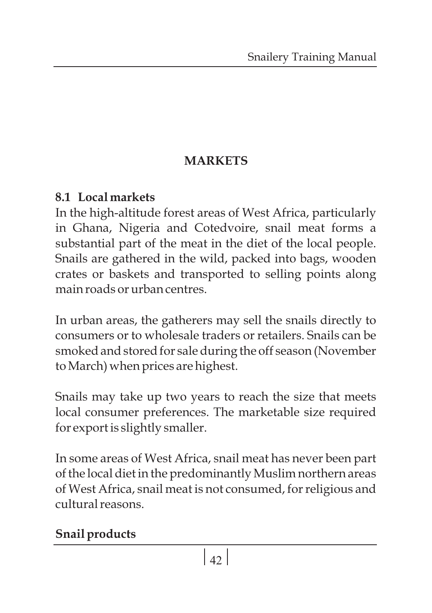### **MARKETS**

### **8.1 Local markets**

In the high-altitude forest areas of West Africa, particularly in Ghana, Nigeria and Cotedvoire, snail meat forms a substantial part of the meat in the diet of the local people. Snails are gathered in the wild, packed into bags, wooden crates or baskets and transported to selling points along main roads or urban centres.

In urban areas, the gatherers may sell the snails directly to consumers or to wholesale traders or retailers. Snails can be smoked and stored for sale during the off season (November to March) when prices are highest.

Snails may take up two years to reach the size that meets local consumer preferences. The marketable size required for export is slightly smaller.

In some areas of West Africa, snail meat has never been part of the local diet in the predominantly Muslim northern areas of West Africa, snail meat is not consumed, for religious and cultural reasons.

## **Snail products**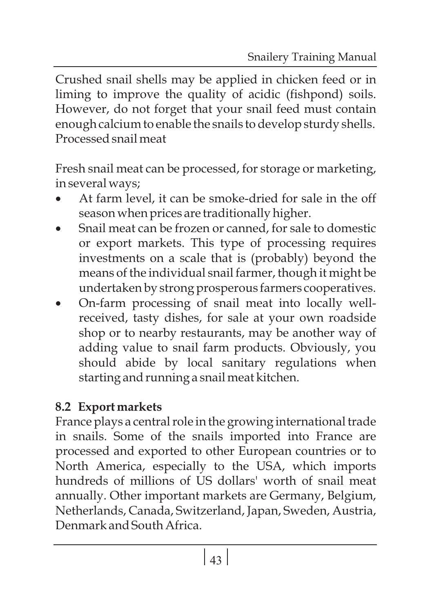Crushed snail shells may be applied in chicken feed or in liming to improve the quality of acidic (fishpond) soils. However, do not forget that your snail feed must contain enough calcium to enable the snails to develop sturdy shells. Processed snail meat

Fresh snail meat can be processed, for storage or marketing, ·in several ways;

- At farm level, it can be smoke-dried for sale in the off season when prices are traditionally higher.
- ·season when prices are traditionally higher. Snail meat can be frozen or canned, for sale to domestic or export markets. This type of processing requires investments on a scale that is (probably) beyond the means of the individual snail farmer, though it might be
- ·undertaken by strong prosperous farmers cooperatives. On-farm processing of snail meat into locally wellreceived, tasty dishes, for sale at your own roadside shop or to nearby restaurants, may be another way of adding value to snail farm products. Obviously, you should abide by local sanitary regulations when starting and running a snail meat kitchen.

## **8.2 Export markets**

France plays a central role in the growing international trade in snails. Some of the snails imported into France are processed and exported to other European countries or to North America, especially to the USA, which imports hundreds of millions of US dollars' worth of snail meat annually. Other important markets are Germany, Belgium, Netherlands, Canada, Switzerland, Japan, Sweden, Austria, Denmark and South Africa.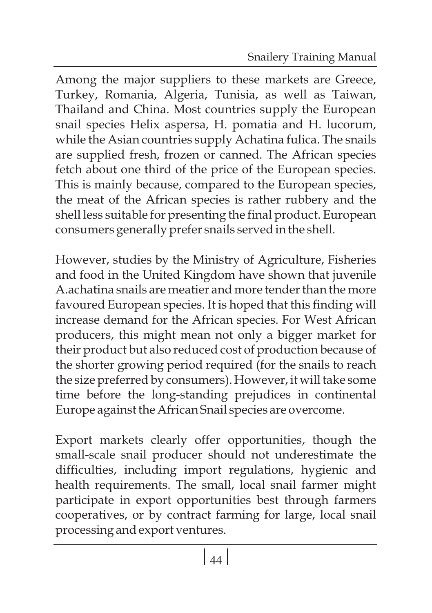Among the major suppliers to these markets are Greece, Turkey, Romania, Algeria, Tunisia, as well as Taiwan, Thailand and China. Most countries supply the European snail species Helix aspersa, H. pomatia and H. lucorum, while the Asian countries supply Achatina fulica. The snails are supplied fresh, frozen or canned. The African species fetch about one third of the price of the European species. This is mainly because, compared to the European species, the meat of the African species is rather rubbery and the shell less suitable for presenting the final product. European consumers generally prefer snails served in the shell.

However, studies by the Ministry of Agriculture, Fisheries and food in the United Kingdom have shown that juvenile A.achatina snails are meatier and more tender than the more favoured European species. It is hoped that this finding will increase demand for the African species. For West African producers, this might mean not only a bigger market for their product but also reduced cost of production because of the shorter growing period required (for the snails to reach the size preferred by consumers). However, it will take some time before the long-standing prejudices in continental Europe against the African Snail species are overcome.

Export markets clearly offer opportunities, though the small-scale snail producer should not underestimate the difficulties, including import regulations, hygienic and health requirements. The small, local snail farmer might participate in export opportunities best through farmers cooperatives, or by contract farming for large, local snail processing and export ventures.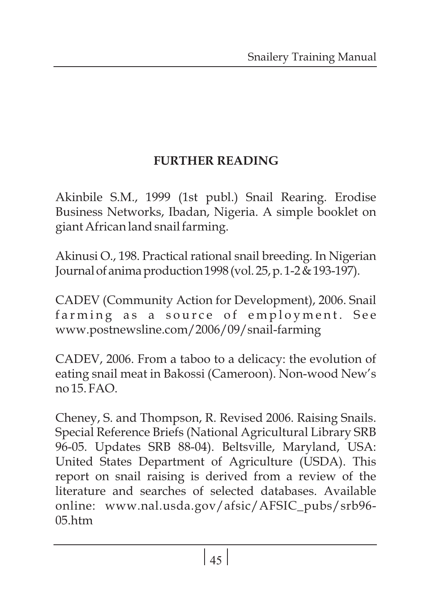### **FURTHER READING**

Akinbile S.M., 1999 (1st publ.) Snail Rearing. Erodise Business Networks, Ibadan, Nigeria. A simple booklet on giant African land snail farming.

Akinusi O., 198. Practical rational snail breeding. In Nigerian Journalofanimaproduction1998(vol.25,p.1-2&193-197).

CADEV (Community Action for Development), 2006. Snail farming as a source of employment. See www.postnewsline.com/2006/09/snail-farming

CADEV, 2006. From a taboo to a delicacy: the evolution of eating snail meat in Bakossi (Cameroon). Non-wood New's  $no 15 FAO$ .

Cheney, S. and Thompson, R. Revised 2006. Raising Snails. Special Reference Briefs (National Agricultural Library SRB 96-05. Updates SRB 88-04). Beltsville, Maryland, USA: United States Department of Agriculture (USDA). This report on snail raising is derived from a review of the literature and searches of selected databases. Available online: www.nal.usda.gov/afsic/AFSIC\_pubs/srb96-  $05$  htm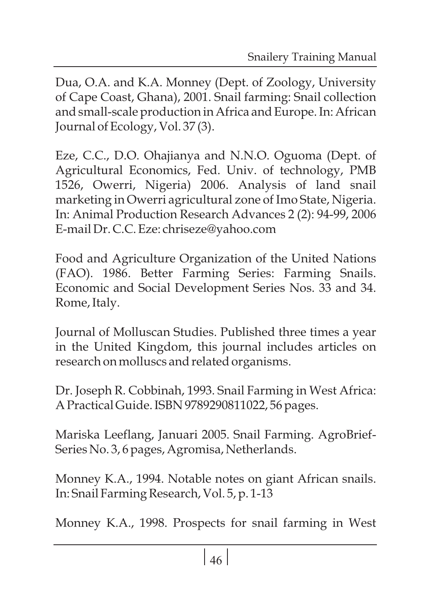Dua, O.A. and K.A. Monney (Dept. of Zoology, University of Cape Coast, Ghana), 2001. Snail farming: Snail collection and small-scale production in Africa and Europe. In: African Journal of Ecology, Vol. 37 (3).

Eze, C.C., D.O. Ohajianya and N.N.O. Oguoma (Dept. of Agricultural Economics, Fed. Univ. of technology, PMB 1526, Owerri, Nigeria) 2006. Analysis of land snail marketing in Owerri agricultural zone of Imo State, Nigeria. In: Animal Production Research Advances 2 (2): 94-99, 2006 E-mail Dr. C.C. Eze: chriseze@yahoo.com

Food and Agriculture Organization of the United Nations (FAO). 1986. Better Farming Series: Farming Snails. Economic and Social Development Series Nos. 33 and 34. Rome, Italy.

Journal of Molluscan Studies. Published three times a year in the United Kingdom, this journal includes articles on research on molluscs and related organisms.

Dr. Joseph R. Cobbinah, 1993. Snail Farming in West Africa: A Practical Guide. ISBN 9789290811022, 56 pages.

Mariska Leeflang, Januari 2005. Snail Farming. AgroBrief-Series No. 3, 6 pages, Agromisa, Netherlands.

Monney K.A., 1994. Notable notes on giant African snails. In: Snail Farming Research, Vol. 5, p. 1-13

Monney K.A., 1998. Prospects for snail farming in West